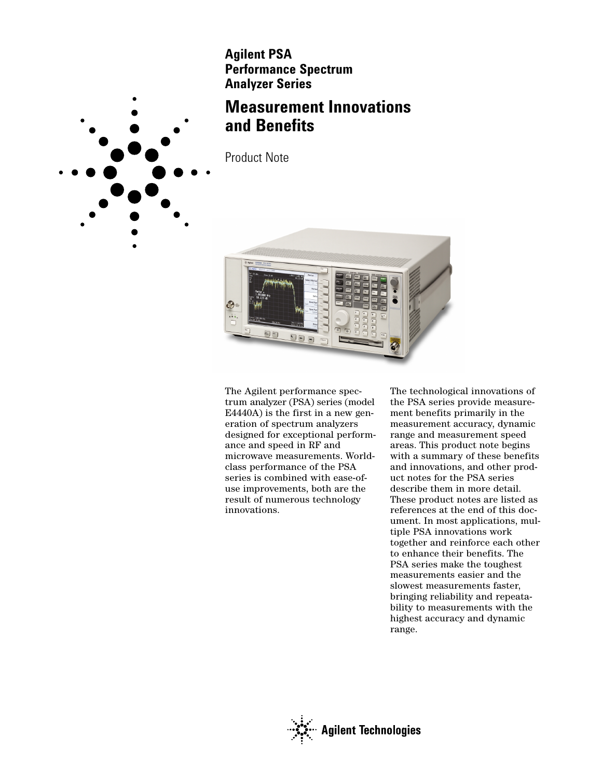**Agilent PSA Performance Spectrum Analyzer Series**

# **Measurement Innovations and Benefits**

Product Note



The Agilent performance spectrum analyzer (PSA) series (model E4440A) is the first in a new generation of spectrum analyzers designed for exceptional performance and speed in RF and microwave measurements. Worldclass performance of the PSA series is combined with ease-ofuse improvements, both are the result of numerous technology innovations.

The technological innovations of the PSA series provide measurement benefits primarily in the measurement accuracy, dynamic range and measurement speed areas. This product note begins with a summary of these benefits and innovations, and other product notes for the PSA series describe them in more detail. These product notes are listed as references at the end of this document. In most applications, multiple PSA innovations work together and reinforce each other to enhance their benefits. The PSA series make the toughest measurements easier and the slowest measurements faster, bringing reliability and repeatability to measurements with the highest accuracy and dynamic range.



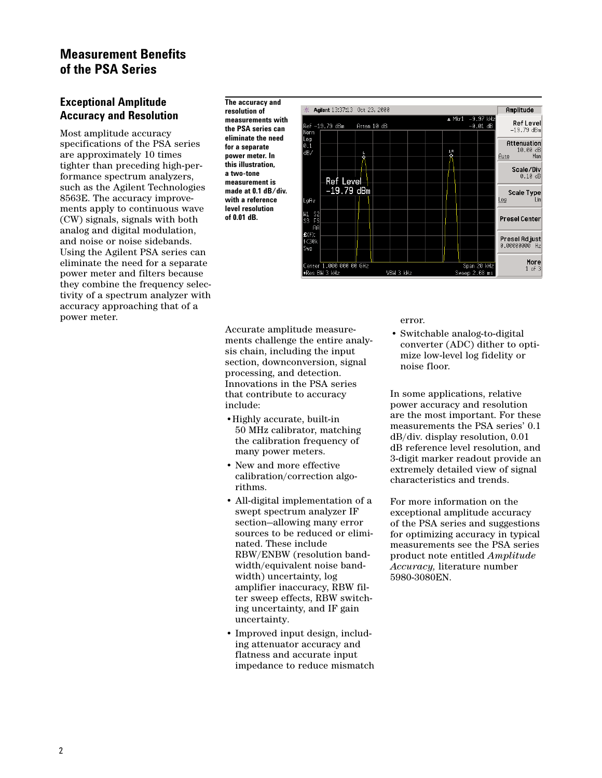## **Measurement Benefits of the PSA Series**

## **Exceptional Amplitude Accuracy and Resolution**

Most amplitude accuracy specifications of the PSA series are approximately 10 times tighter than preceding high-performance spectrum analyzers, such as the Agilent Technologies 8563E. The accuracy improvements apply to continuous wave (CW) signals, signals with both analog and digital modulation, and noise or noise sidebands. Using the Agilent PSA series can eliminate the need for a separate power meter and filters because they combine the frequency selectivity of a spectrum analyzer with accuracy approaching that of a power meter.

**The accuracy and resolution of measurements with the PSA series can eliminate the need for a separate power meter. In this illustration, a two-tone measurement is made at 0.1 dB/div. with a reference level resolution of 0.01 dB.**



Accurate amplitude measurements challenge the entire analysis chain, including the input section, downconversion, signal processing, and detection. Innovations in the PSA series that contribute to accuracy include:

- •Highly accurate, built-in 50 MHz calibrator, matching the calibration frequency of many power meters.
- New and more effective calibration/correction algorithms.
- All-digital implementation of a swept spectrum analyzer IF section—allowing many error sources to be reduced or eliminated. These include RBW/ENBW (resolution bandwidth/equivalent noise bandwidth) uncertainty, log amplifier inaccuracy, RBW filter sweep effects, RBW switching uncertainty, and IF gain uncertainty.
- Improved input design, including attenuator accuracy and flatness and accurate input impedance to reduce mismatch

error.

• Switchable analog-to-digital converter (ADC) dither to optimize low-level log fidelity or noise floor.

In some applications, relative power accuracy and resolution are the most important. For these measurements the PSA series' 0.1 dB/div. display resolution, 0.01 dB reference level resolution, and 3-digit marker readout provide an extremely detailed view of signal characteristics and trends.

For more information on the exceptional amplitude accuracy of the PSA series and suggestions for optimizing accuracy in typical measurements see the PSA series product note entitled *Amplitude Accuracy,* literature number 5980-3080EN.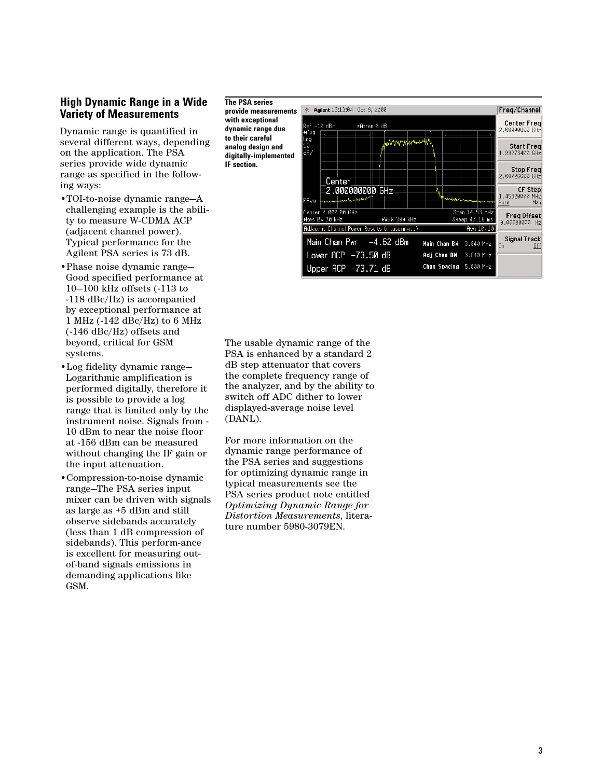### **High Dynamic Range in a Wide Variety of Measurements**

Dynamic range is quantified in several different ways, depending on the application. The PSA series provide wide dynamic range as specified in the following ways:

- •TOI-to-noise dynamic range—A challenging example is the ability to measure W-CDMA ACP (adjacent channel power). Typical performance for the Agilent PSA series is 73 dB.
- •Phase noise dynamic range Good specified performance at 10 —100 kHz offsets (-113 to -118 dBc/Hz) is accompanied by exceptional performance at 1 MHz (-142 dBc/Hz) to 6 MHz (-146 dBc/Hz) offsets and beyond, critical for GSM systems.
- •Log fidelity dynamic range Logarithmic amplification is performed digitally, therefore it is possible to provide a log range that is limited only by the instrument noise. Signals from - 10 dBm to near the noise floor at -156 dBm can be measured without changing the IF gain or the input attenuation.
- •Compression-to-noise dynamic range —The PSA series input mixer can be driven with signals as large as +5 dBm and still observe sidebands accurately (less than 1 dB compression of sidebands). This perform-ance is excellent for measuring outof-band signals emissions in demanding applications like GSM.

**The PSA series provide measurements with exceptional dynamic range due to their careful analog design and digitally-implemented IF section.**



The usable dynamic range of the PSA is enhanced by a standard 2 dB step attenuator that covers the complete frequency range of the analyzer, and by the ability to switch off ADC dither to lower displayed-average noise level (DANL).

For more information on the dynamic range performance of the PSA series and suggestions for optimizing dynamic range in typical measurements see the PSA series product note entitled *Optimizing Dynamic Range for Distortion Measurements*, literature number 5980-3079EN.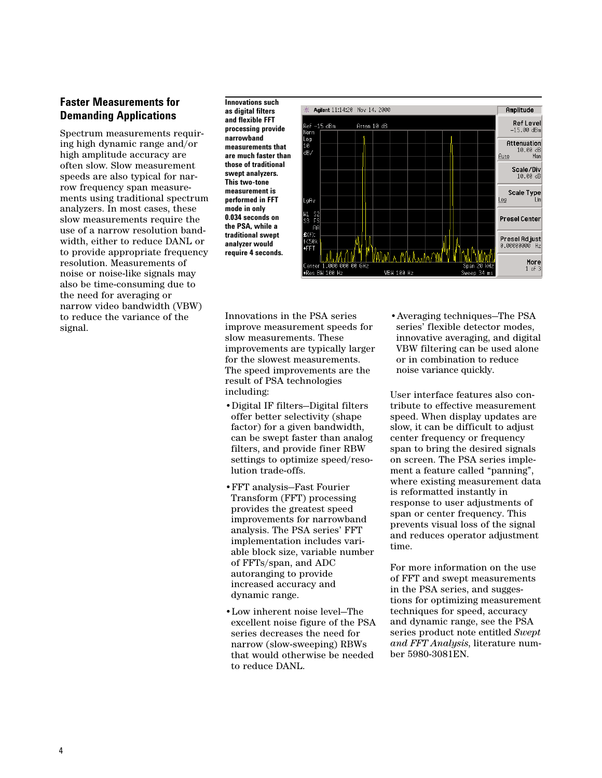## **Faster Measurements for Demanding Applications**

Spectrum measurements requiring high dynamic range and/or high amplitude accuracy are often slow. Slow measurement speeds are also typical for narrow frequency span measurements using traditional spectrum analyzers. In most cases, these slow measurements require the use of a narrow resolution bandwidth, either to reduce DANL or to provide appropriate frequency resolution. Measurements of noise or noise-like signals may also be time-consuming due to the need for averaging or narrow video bandwidth (VBW) to reduce the variance of the signal.

**Innovations such as digital filters and flexible FFT processing provide narrowband measurements that are much faster than those of traditional swept analyzers. This two-tone measurement is performed in FFT mode in only 0.034 seconds on the PSA, while a traditional swept analyzer would require 4 seconds.**



Innovations in the PSA series improve measurement speeds for slow measurements. These improvements are typically larger for the slowest measurements. The speed improvements are the result of PSA technologies including:

- •Digital IF filters—Digital filters offer better selectivity (shape factor) for a given bandwidth, can be swept faster than analog filters, and provide finer RBW settings to optimize speed/resolution trade-offs.
- •FFT analysis—Fast Fourier Transform (FFT) processing provides the greatest speed improvements for narrowband analysis. The PSA series' FFT implementation includes variable block size, variable number of FFTs/span, and ADC autoranging to provide increased accuracy and dynamic range.
- •Low inherent noise level—The excellent noise figure of the PSA series decreases the need for narrow (slow-sweeping) RBWs that would otherwise be needed to reduce DANL.

•Averaging techniques—The PSA series' flexible detector modes, innovative averaging, and digital VBW filtering can be used alone or in combination to reduce noise variance quickly.

User interface features also contribute to effective measurement speed. When display updates are slow, it can be difficult to adjust center frequency or frequency span to bring the desired signals on screen. The PSA series implement a feature called "panning", where existing measurement data is reformatted instantly in response to user adjustments of span or center frequency. This prevents visual loss of the signal and reduces operator adjustment time.

For more information on the use of FFT and swept measurements in the PSA series, and suggestions for optimizing measurement techniques for speed, accuracy and dynamic range, see the PSA series product note entitled *Swept and FFT Analysis*, literature number 5980-3081EN.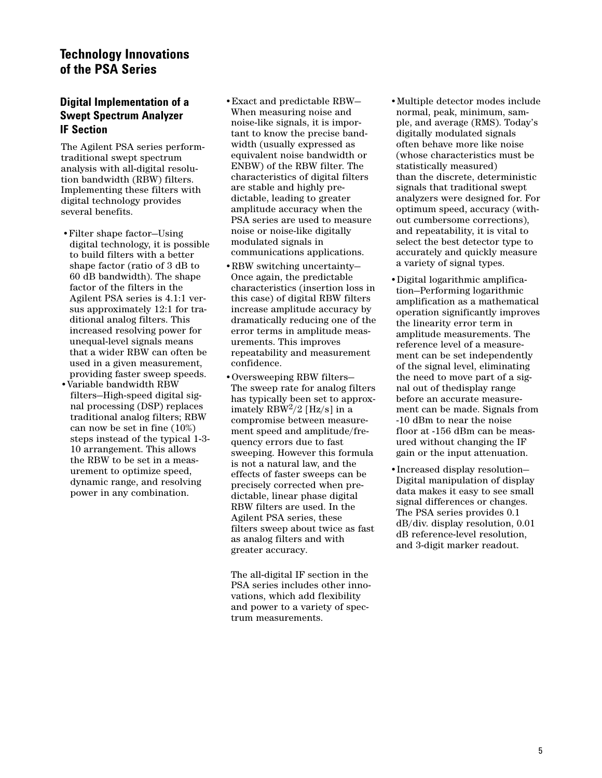## **Technology Innovations of the PSA Series**

## **Digital Implementation of a Swept Spectrum Analyzer IF Section**

The Agilent PSA series performtraditional swept spectrum analysis with all-digital resolution bandwidth (RBW) filters. Implementing these filters with digital technology provides several benefits.

- •Filter shape factor—Using digital technology, it is possible to build filters with a better shape factor (ratio of 3 dB to 60 dB bandwidth). The shape factor of the filters in the Agilent PSA series is 4.1:1 versus approximately 12:1 for traditional analog filters. This increased resolving power for unequal-level signals means that a wider RBW can often be used in a given measurement, providing faster sweep speeds.
- •Variable bandwidth RBW filters—High-speed digital signal processing (DSP) replaces traditional analog filters; RBW can now be set in fine (10%) steps instead of the typical 1-3- 10 arrangement. This allows the RBW to be set in a measurement to optimize speed, dynamic range, and resolving power in any combination.
- •Exact and predictable RBW— When measuring noise and noise-like signals, it is important to know the precise bandwidth (usually expressed as equivalent noise bandwidth or ENBW) of the RBW filter. The characteristics of digital filters are stable and highly predictable, leading to greater amplitude accuracy when the PSA series are used to measure noise or noise-like digitally modulated signals in communications applications.
- •RBW switching uncertainty— Once again, the predictable characteristics (insertion loss in this case) of digital RBW filters increase amplitude accuracy by dramatically reducing one of the error terms in amplitude measurements. This improves repeatability and measurement confidence.
- •Oversweeping RBW filters— The sweep rate for analog filters has typically been set to approximately RBW<sup>2</sup>/2 [Hz/s] in a compromise between measurement speed and amplitude/frequency errors due to fast sweeping. However this formula is not a natural law, and the effects of faster sweeps can be precisely corrected when predictable, linear phase digital RBW filters are used. In the Agilent PSA series, these filters sweep about twice as fast as analog filters and with greater accuracy.

The all-digital IF section in the PSA series includes other innovations, which add flexibility and power to a variety of spectrum measurements.

- •Multiple detector modes include normal, peak, minimum, sample, and average (RMS). Today's digitally modulated signals often behave more like noise (whose characteristics must be statistically measured) than the discrete, deterministic signals that traditional swept analyzers were designed for. For optimum speed, accuracy (without cumbersome corrections), and repeatability, it is vital to select the best detector type to accurately and quickly measure a variety of signal types.
- •Digital logarithmic amplification—Performing logarithmic amplification as a mathematical operation significantly improves the linearity error term in amplitude measurements. The reference level of a measurement can be set independently of the signal level, eliminating the need to move part of a signal out of thedisplay range before an accurate measurement can be made. Signals from -10 dBm to near the noise floor at -156 dBm can be measured without changing the IF gain or the input attenuation.
- •Increased display resolution— Digital manipulation of display data makes it easy to see small signal differences or changes. The PSA series provides 0.1 dB/div. display resolution, 0.01 dB reference-level resolution, and 3-digit marker readout.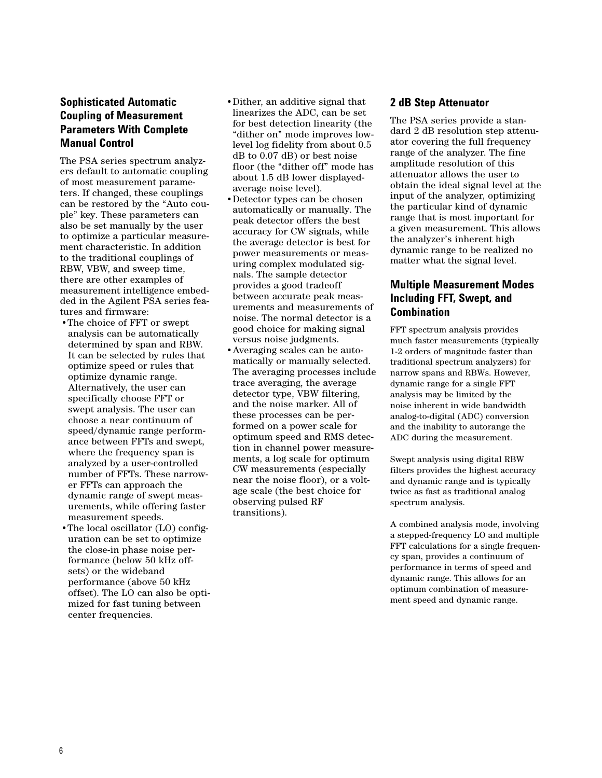## **Sophisticated Automatic Coupling of Measurement Parameters With Complete Manual Control**

The PSA series spectrum analyzers default to automatic coupling of most measurement parameters. If changed, these couplings can be restored by the "Auto couple" key. These parameters can also be set manually by the user to optimize a particular measurement characteristic. In addition to the traditional couplings of RBW, VBW, and sweep time, there are other examples of measurement intelligence embedded in the Agilent PSA series features and firmware:

- •The choice of FFT or swept analysis can be automatically determined by span and RBW. It can be selected by rules that optimize speed or rules that optimize dynamic range. Alternatively, the user can specifically choose FFT or swept analysis. The user can choose a near continuum of speed/dynamic range performance between FFTs and swept, where the frequency span is analyzed by a user-controlled number of FFTs. These narrower FFTs can approach the dynamic range of swept measurements, while offering faster measurement speeds.
- •The local oscillator (LO) configuration can be set to optimize the close-in phase noise performance (below 50 kHz offsets) or the wideband performance (above 50 kHz offset). The LO can also be optimized for fast tuning between center frequencies.
- •Dither, an additive signal that linearizes the ADC, can be set for best detection linearity (the "dither on" mode improves lowlevel log fidelity from about 0.5 dB to 0.07 dB) or best noise floor (the "dither off" mode has about 1.5 dB lower displayedaverage noise level).
- •Detector types can be chosen automatically or manually. The peak detector offers the best accuracy for CW signals, while the average detector is best for power measurements or measuring complex modulated signals. The sample detector provides a good tradeoff between accurate peak measurements and measurements of noise. The normal detector is a good choice for making signal versus noise judgments.
- •Averaging scales can be automatically or manually selected. The averaging processes include trace averaging, the average detector type, VBW filtering, and the noise marker. All of these processes can be performed on a power scale for optimum speed and RMS detection in channel power measurements, a log scale for optimum CW measurements (especially near the noise floor), or a voltage scale (the best choice for observing pulsed RF transitions).

## **2 dB Step Attenuator**

The PSA series provide a standard 2 dB resolution step attenuator covering the full frequency range of the analyzer. The fine amplitude resolution of this attenuator allows the user to obtain the ideal signal level at the input of the analyzer, optimizing the particular kind of dynamic range that is most important for a given measurement. This allows the analyzer's inherent high dynamic range to be realized no matter what the signal level.

## **Multiple Measurement Modes Including FFT, Swept, and Combination**

FFT spectrum analysis provides much faster measurements (typically 1-2 orders of magnitude faster than traditional spectrum analyzers) for narrow spans and RBWs. However, dynamic range for a single FFT analysis may be limited by the noise inherent in wide bandwidth analog-to-digital (ADC) conversion and the inability to autorange the ADC during the measurement.

Swept analysis using digital RBW filters provides the highest accuracy and dynamic range and is typically twice as fast as traditional analog spectrum analysis.

A combined analysis mode, involving a stepped-frequency LO and multiple FFT calculations for a single frequency span, provides a continuum of performance in terms of speed and dynamic range. This allows for an optimum combination of measurement speed and dynamic range.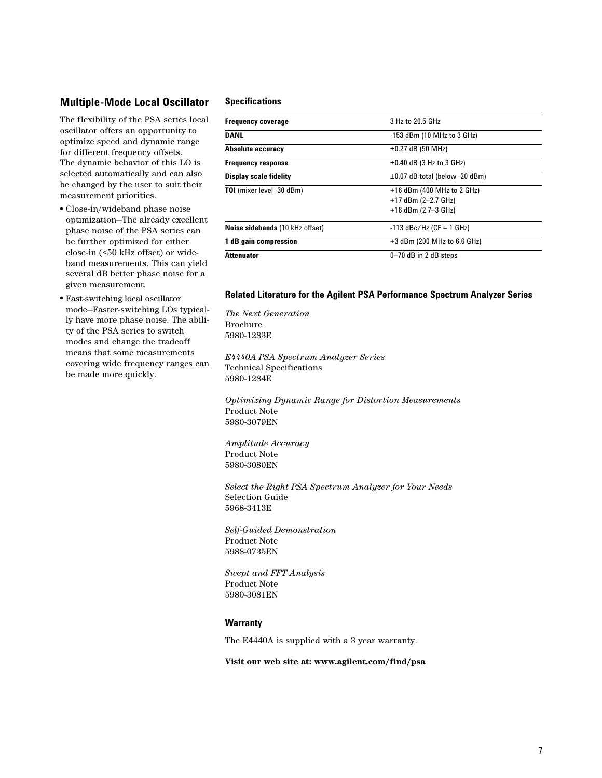### **Multiple-Mode Local Oscillator**

The flexibility of the PSA series local oscillator offers an opportunity to optimize speed and dynamic range for different frequency offsets. The dynamic behavior of this LO is selected automatically and can also be changed by the user to suit their measurement priorities.

- Close-in/wideband phase noise optimization—The already excellent phase noise of the PSA series can be further optimized for either close-in (<50 kHz offset) or wideband measurements. This can yield several dB better phase noise for a given measurement.
- Fast-switching local oscillator mode—Faster-switching LOs typically have more phase noise. The ability of the PSA series to switch modes and change the tradeoff means that some measurements covering wide frequency ranges can be made more quickly.

#### **Specifications**

| <b>Frequency coverage</b>        | 3 Hz to 26.5 GHz                    |
|----------------------------------|-------------------------------------|
| <b>DANL</b>                      | $-153$ dBm (10 MHz to 3 GHz)        |
| Absolute accuracy                | $\pm 0.27$ dB (50 MHz)              |
| <b>Frequency response</b>        | $\pm 0.40$ dB (3 Hz to 3 GHz)       |
| <b>Display scale fidelity</b>    | $\pm 0.07$ dB total (below -20 dBm) |
| <b>TOI</b> (mixer level -30 dBm) | $+16$ dBm (400 MHz to 2 GHz)        |
|                                  | $+17$ dBm (2-2.7 GHz)               |
|                                  | $+16$ dBm (2.7-3 GHz)               |
| Noise sidebands (10 kHz offset)  | $-113$ dBc/Hz (CF = 1 GHz)          |
| 1 dB gain compression            | $+3$ dBm (200 MHz to 6.6 GHz)       |
| <b>Attenuator</b>                | $0 - 70$ dB in 2 dB steps           |
|                                  |                                     |

#### **Related Literature for the Agilent PSA Performance Spectrum Analyzer Series**

*The Next Generation* Brochure 5980-1283E

*E4440A PSA Spectrum Analyzer Series* Technical Specifications 5980-1284E

*Optimizing Dynamic Range for Distortion Measurements* Product Note 5980-3079EN

*Amplitude Accuracy* Product Note 5980-3080EN

*Select the Right PSA Spectrum Analyzer for Your Needs* Selection Guide 5968-3413E

*Self-Guided Demonstration* Product Note 5988-0735EN

*Swept and FFT Analysis* Product Note 5980-3081EN

#### **Warranty**

The E4440A is supplied with a 3 year warranty.

**Visit our web site at: www.agilent.com/find/psa**